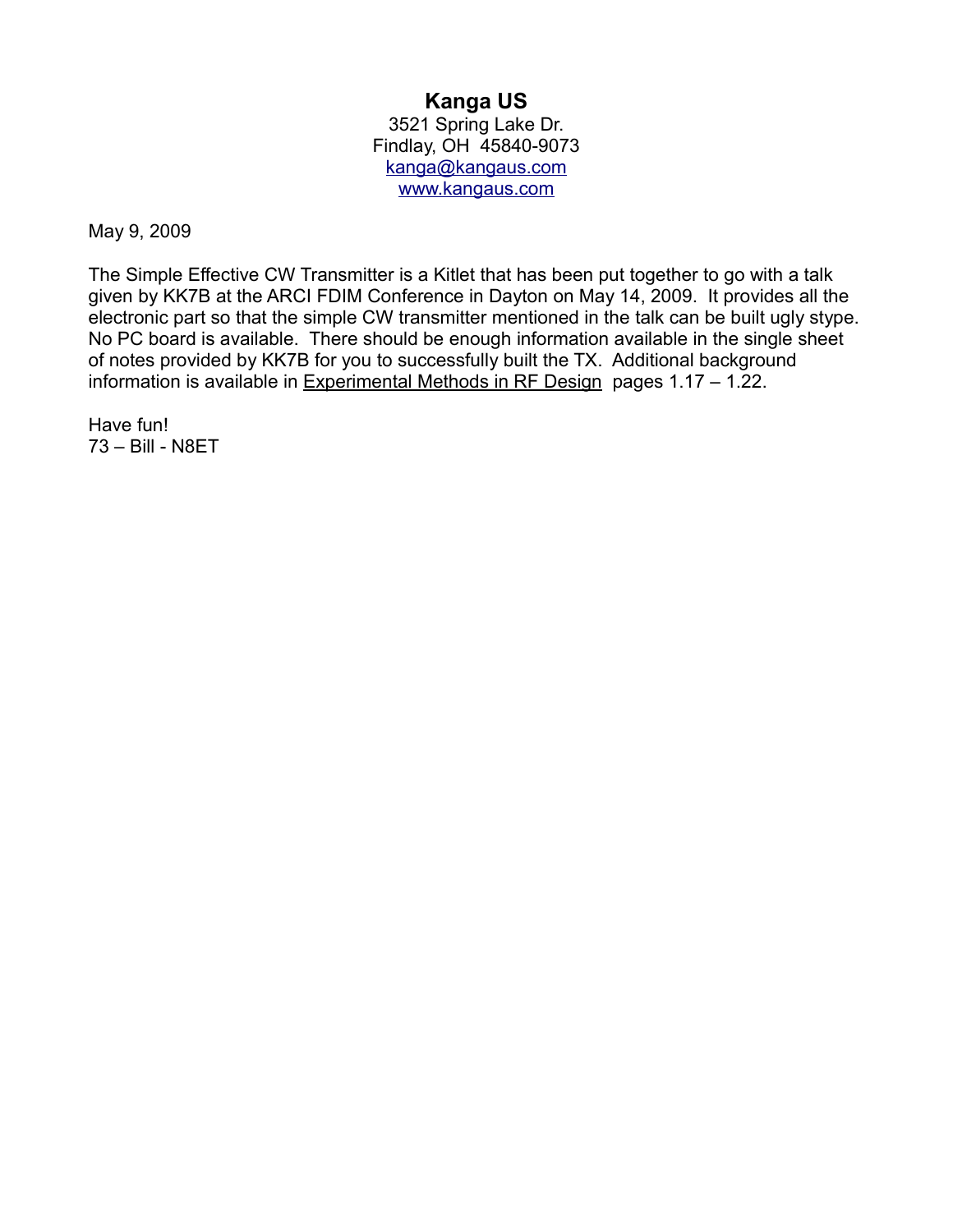## **Kanga US**

3521 Spring Lake Dr. Findlay, OH 45840-9073 [kanga@kangaus.com](mailto:kanga@kangaus.com) [www.kangaus.com](http://www.kangaus.com/)

May 9, 2009

The Simple Effective CW Transmitter is a Kitlet that has been put together to go with a talk given by KK7B at the ARCI FDIM Conference in Dayton on May 14, 2009. It provides all the electronic part so that the simple CW transmitter mentioned in the talk can be built ugly stype. No PC board is available. There should be enough information available in the single sheet of notes provided by KK7B for you to successfully built the TX. Additional background information is available in Experimental Methods in RF Design pages 1.17 – 1.22.

Have fun! 73 – Bill - N8ET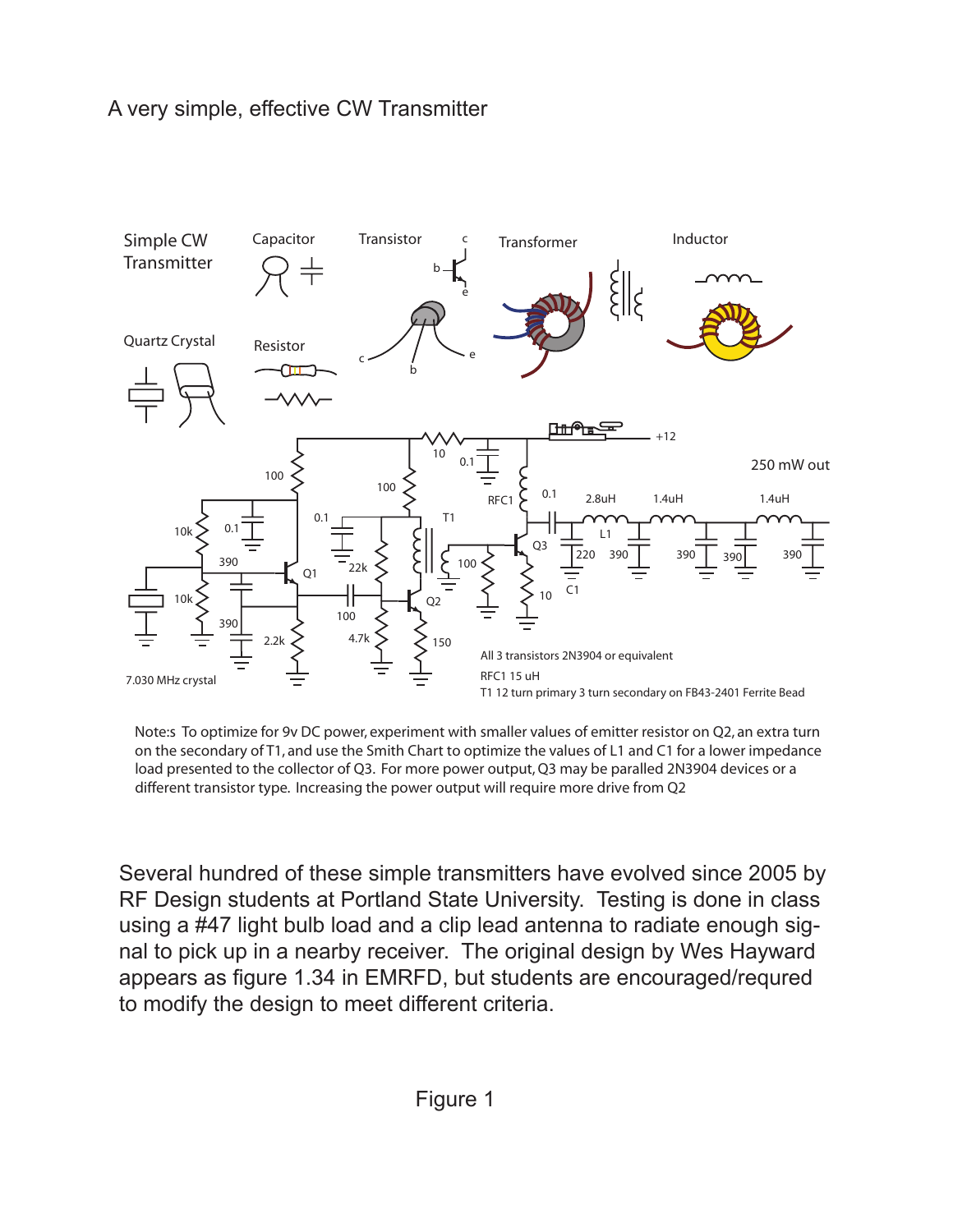## A very simple, effective CW Transmitter



Note:s To optimize for 9v DC power, experiment with smaller values of emitter resistor on Q2, an extra turn on the secondary of T1, and use the Smith Chart to optimize the values of L1 and C1 for a lower impedance load presented to the collector of Q3. For more power output, Q3 may be paralled 2N3904 devices or a different transistor type. Increasing the power output will require more drive from Q2

Several hundred of these simple transmitters have evolved since 2005 by RF Design students at Portland State University. Testing is done in class using a #47 light bulb load and a clip lead antenna to radiate enough signal to pick up in a nearby receiver. The original design by Wes Hayward appears as figure 1.34 in EMRFD, but students are encouraged/requred to modify the design to meet different criteria.